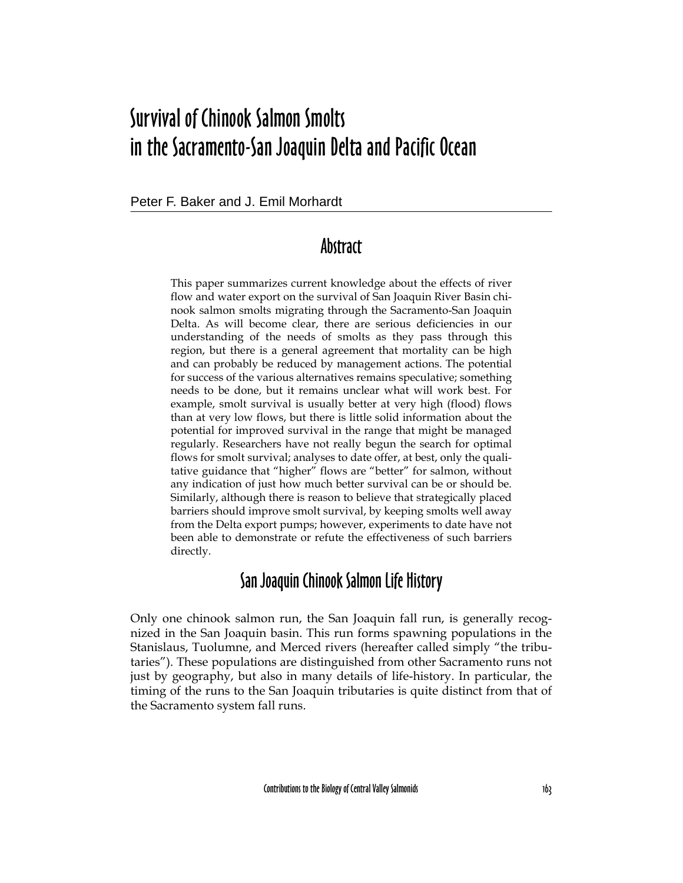# Survival of Chinook Salmon Smolts in the Sacramento-San Joaquin Delta and Pacific Ocean

Peter F. Baker and J. Emil Morhardt

## Abstract

This paper summarizes current knowledge about the effects of river flow and water export on the survival of San Joaquin River Basin chinook salmon smolts migrating through the Sacramento-San Joaquin Delta. As will become clear, there are serious deficiencies in our understanding of the needs of smolts as they pass through this region, but there is a general agreement that mortality can be high and can probably be reduced by management actions. The potential for success of the various alternatives remains speculative; something needs to be done, but it remains unclear what will work best. For example, smolt survival is usually better at very high (flood) flows than at very low flows, but there is little solid information about the potential for improved survival in the range that might be managed regularly. Researchers have not really begun the search for optimal flows for smolt survival; analyses to date offer, at best, only the qualitative guidance that "higher" flows are "better" for salmon, without any indication of just how much better survival can be or should be. Similarly, although there is reason to believe that strategically placed barriers should improve smolt survival, by keeping smolts well away from the Delta export pumps; however, experiments to date have not been able to demonstrate or refute the effectiveness of such barriers directly.

## San Joaquin Chinook Salmon Life History

Only one chinook salmon run, the San Joaquin fall run, is generally recognized in the San Joaquin basin. This run forms spawning populations in the Stanislaus, Tuolumne, and Merced rivers (hereafter called simply "the tributaries"). These populations are distinguished from other Sacramento runs not just by geography, but also in many details of life-history. In particular, the timing of the runs to the San Joaquin tributaries is quite distinct from that of the Sacramento system fall runs.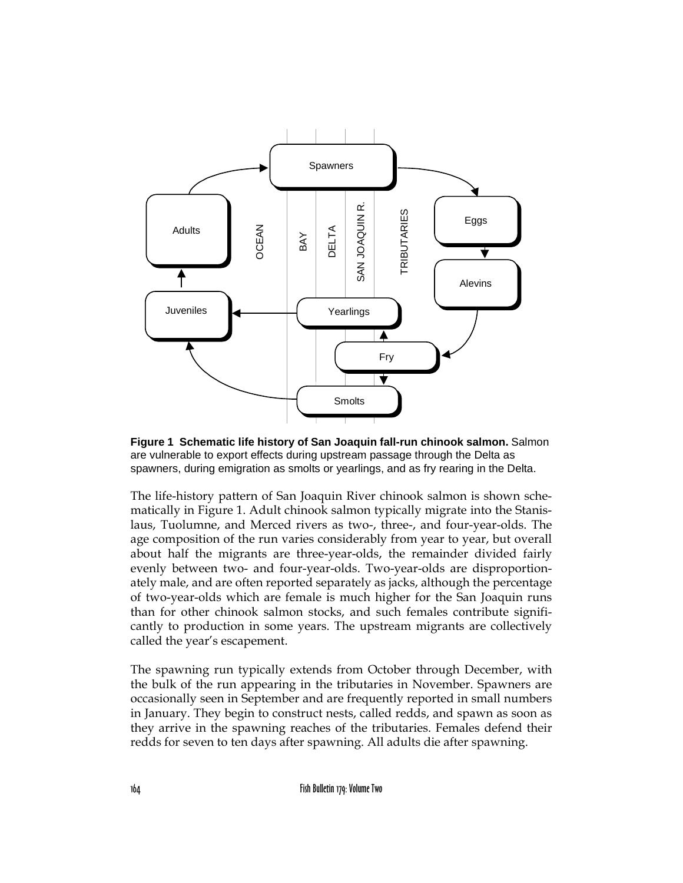

**Figure 1 Schematic life history of San Joaquin fall-run chinook salmon.** Salmon are vulnerable to export effects during upstream passage through the Delta as spawners, during emigration as smolts or yearlings, and as fry rearing in the Delta.

The life-history pattern of San Joaquin River chinook salmon is shown schematically in Figure 1. Adult chinook salmon typically migrate into the Stanislaus, Tuolumne, and Merced rivers as two-, three-, and four-year-olds. The age composition of the run varies considerably from year to year, but overall about half the migrants are three-year-olds, the remainder divided fairly evenly between two- and four-year-olds. Two-year-olds are disproportionately male, and are often reported separately as jacks, although the percentage of two-year-olds which are female is much higher for the San Joaquin runs than for other chinook salmon stocks, and such females contribute significantly to production in some years. The upstream migrants are collectively called the year's escapement.

The spawning run typically extends from October through December, with the bulk of the run appearing in the tributaries in November. Spawners are occasionally seen in September and are frequently reported in small numbers in January. They begin to construct nests, called redds, and spawn as soon as they arrive in the spawning reaches of the tributaries. Females defend their redds for seven to ten days after spawning. All adults die after spawning.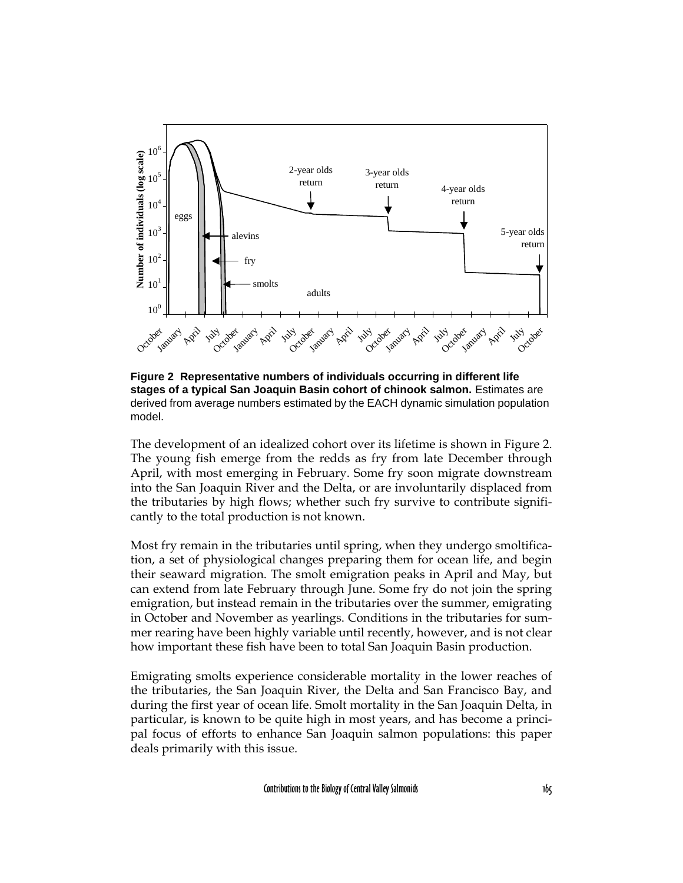

**Figure 2 Representative numbers of individuals occurring in different life stages of a typical San Joaquin Basin cohort of chinook salmon.** Estimates are derived from average numbers estimated by the EACH dynamic simulation population model.

The development of an idealized cohort over its lifetime is shown in Figure 2. The young fish emerge from the redds as fry from late December through April, with most emerging in February. Some fry soon migrate downstream into the San Joaquin River and the Delta, or are involuntarily displaced from the tributaries by high flows; whether such fry survive to contribute significantly to the total production is not known.

Most fry remain in the tributaries until spring, when they undergo smoltification, a set of physiological changes preparing them for ocean life, and begin their seaward migration. The smolt emigration peaks in April and May, but can extend from late February through June. Some fry do not join the spring emigration, but instead remain in the tributaries over the summer, emigrating in October and November as yearlings. Conditions in the tributaries for summer rearing have been highly variable until recently, however, and is not clear how important these fish have been to total San Joaquin Basin production.

Emigrating smolts experience considerable mortality in the lower reaches of the tributaries, the San Joaquin River, the Delta and San Francisco Bay, and during the first year of ocean life. Smolt mortality in the San Joaquin Delta, in particular, is known to be quite high in most years, and has become a principal focus of efforts to enhance San Joaquin salmon populations: this paper deals primarily with this issue.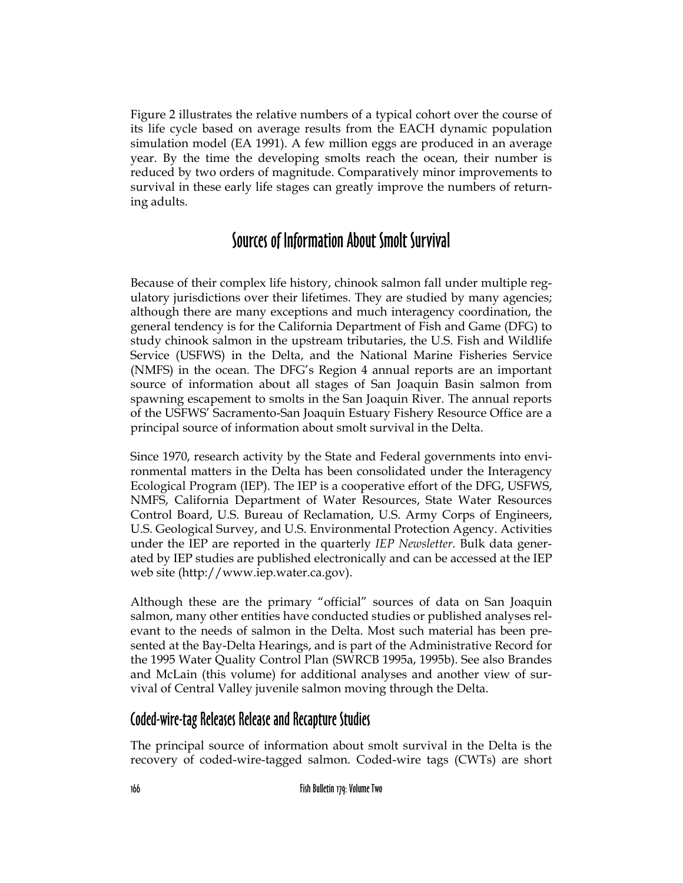Figure 2 illustrates the relative numbers of a typical cohort over the course of its life cycle based on average results from the EACH dynamic population simulation model (EA 1991). A few million eggs are produced in an average year. By the time the developing smolts reach the ocean, their number is reduced by two orders of magnitude. Comparatively minor improvements to survival in these early life stages can greatly improve the numbers of returning adults.

## Sources of Information About Smolt Survival

Because of their complex life history, chinook salmon fall under multiple regulatory jurisdictions over their lifetimes. They are studied by many agencies; although there are many exceptions and much interagency coordination, the general tendency is for the California Department of Fish and Game (DFG) to study chinook salmon in the upstream tributaries, the U.S. Fish and Wildlife Service (USFWS) in the Delta, and the National Marine Fisheries Service (NMFS) in the ocean. The DFG's Region 4 annual reports are an important source of information about all stages of San Joaquin Basin salmon from spawning escapement to smolts in the San Joaquin River. The annual reports of the USFWS' Sacramento-San Joaquin Estuary Fishery Resource Office are a principal source of information about smolt survival in the Delta.

Since 1970, research activity by the State and Federal governments into environmental matters in the Delta has been consolidated under the Interagency Ecological Program (IEP). The IEP is a cooperative effort of the DFG, USFWS, NMFS, California Department of Water Resources, State Water Resources Control Board, U.S. Bureau of Reclamation, U.S. Army Corps of Engineers, U.S. Geological Survey, and U.S. Environmental Protection Agency. Activities under the IEP are reported in the quarterly *IEP Newsletter*. Bulk data generated by IEP studies are published electronically and can be accessed at the IEP web site (http://www.iep.water.ca.gov).

Although these are the primary "official" sources of data on San Joaquin salmon, many other entities have conducted studies or published analyses relevant to the needs of salmon in the Delta. Most such material has been presented at the Bay-Delta Hearings, and is part of the Administrative Record for the 1995 Water Quality Control Plan (SWRCB 1995a, 1995b). See also Brandes and McLain (this volume) for additional analyses and another view of survival of Central Valley juvenile salmon moving through the Delta.

#### Coded-wire-tag Releases Release and Recapture Studies

The principal source of information about smolt survival in the Delta is the recovery of coded-wire-tagged salmon. Coded-wire tags (CWTs) are short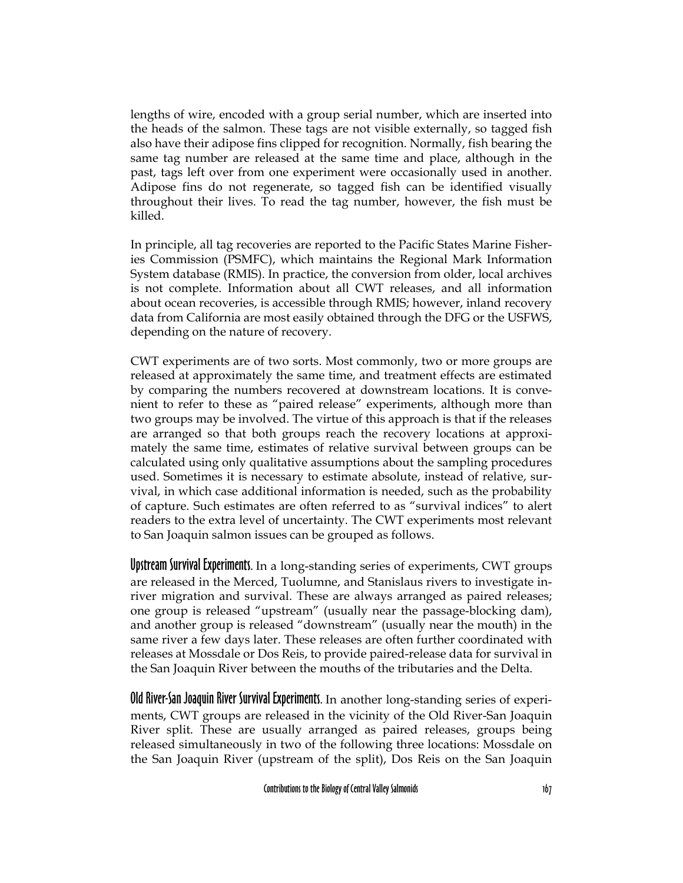lengths of wire, encoded with a group serial number, which are inserted into the heads of the salmon. These tags are not visible externally, so tagged fish also have their adipose fins clipped for recognition. Normally, fish bearing the same tag number are released at the same time and place, although in the past, tags left over from one experiment were occasionally used in another. Adipose fins do not regenerate, so tagged fish can be identified visually throughout their lives. To read the tag number, however, the fish must be killed.

In principle, all tag recoveries are reported to the Pacific States Marine Fisheries Commission (PSMFC), which maintains the Regional Mark Information System database (RMIS). In practice, the conversion from older, local archives is not complete. Information about all CWT releases, and all information about ocean recoveries, is accessible through RMIS; however, inland recovery data from California are most easily obtained through the DFG or the USFWS, depending on the nature of recovery.

CWT experiments are of two sorts. Most commonly, two or more groups are released at approximately the same time, and treatment effects are estimated by comparing the numbers recovered at downstream locations. It is convenient to refer to these as "paired release" experiments, although more than two groups may be involved. The virtue of this approach is that if the releases are arranged so that both groups reach the recovery locations at approximately the same time, estimates of relative survival between groups can be calculated using only qualitative assumptions about the sampling procedures used. Sometimes it is necessary to estimate absolute, instead of relative, survival, in which case additional information is needed, such as the probability of capture. Such estimates are often referred to as "survival indices" to alert readers to the extra level of uncertainty. The CWT experiments most relevant to San Joaquin salmon issues can be grouped as follows.

Upstream Survival Experiments. In a long-standing series of experiments, CWT groups are released in the Merced, Tuolumne, and Stanislaus rivers to investigate inriver migration and survival. These are always arranged as paired releases; one group is released "upstream" (usually near the passage-blocking dam), and another group is released "downstream" (usually near the mouth) in the same river a few days later. These releases are often further coordinated with releases at Mossdale or Dos Reis, to provide paired-release data for survival in the San Joaquin River between the mouths of the tributaries and the Delta.

Old River-San Joaquin River Survival Experiments. In another long-standing series of experiments, CWT groups are released in the vicinity of the Old River-San Joaquin River split. These are usually arranged as paired releases, groups being released simultaneously in two of the following three locations: Mossdale on the San Joaquin River (upstream of the split), Dos Reis on the San Joaquin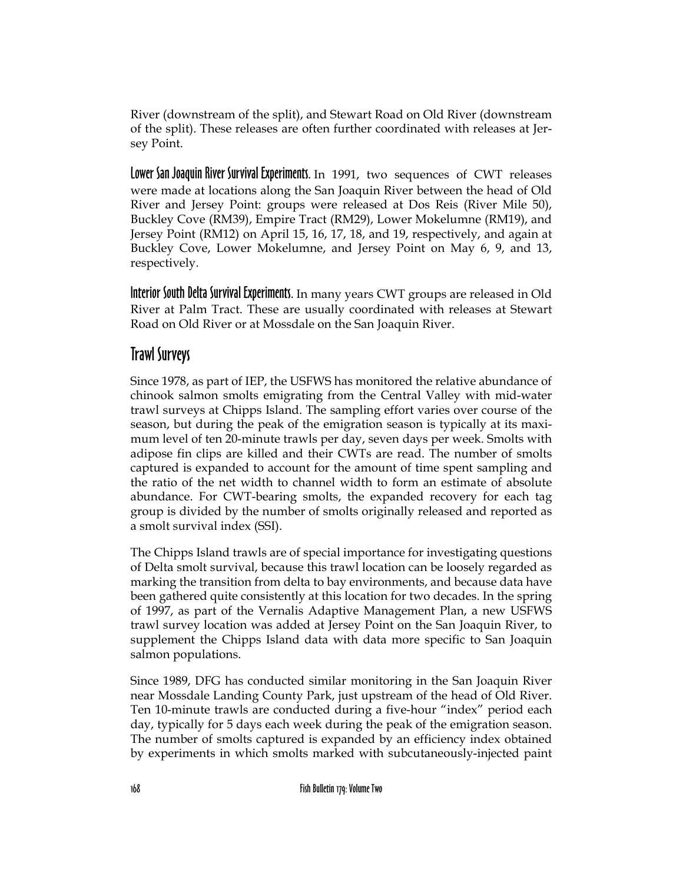River (downstream of the split), and Stewart Road on Old River (downstream of the split). These releases are often further coordinated with releases at Jersey Point.

Lower San Joaquin River Survival Experiments. In 1991, two sequences of CWT releases were made at locations along the San Joaquin River between the head of Old River and Jersey Point: groups were released at Dos Reis (River Mile 50), Buckley Cove (RM39), Empire Tract (RM29), Lower Mokelumne (RM19), and Jersey Point (RM12) on April 15, 16, 17, 18, and 19, respectively, and again at Buckley Cove, Lower Mokelumne, and Jersey Point on May 6, 9, and 13, respectively.

Interior South Delta Survival Experiments. In many years CWT groups are released in Old River at Palm Tract. These are usually coordinated with releases at Stewart Road on Old River or at Mossdale on the San Joaquin River.

#### Trawl Surveys

Since 1978, as part of IEP, the USFWS has monitored the relative abundance of chinook salmon smolts emigrating from the Central Valley with mid-water trawl surveys at Chipps Island. The sampling effort varies over course of the season, but during the peak of the emigration season is typically at its maximum level of ten 20-minute trawls per day, seven days per week. Smolts with adipose fin clips are killed and their CWTs are read. The number of smolts captured is expanded to account for the amount of time spent sampling and the ratio of the net width to channel width to form an estimate of absolute abundance. For CWT-bearing smolts, the expanded recovery for each tag group is divided by the number of smolts originally released and reported as a smolt survival index (SSI).

The Chipps Island trawls are of special importance for investigating questions of Delta smolt survival, because this trawl location can be loosely regarded as marking the transition from delta to bay environments, and because data have been gathered quite consistently at this location for two decades. In the spring of 1997, as part of the Vernalis Adaptive Management Plan, a new USFWS trawl survey location was added at Jersey Point on the San Joaquin River, to supplement the Chipps Island data with data more specific to San Joaquin salmon populations.

Since 1989, DFG has conducted similar monitoring in the San Joaquin River near Mossdale Landing County Park, just upstream of the head of Old River. Ten 10-minute trawls are conducted during a five-hour "index" period each day, typically for 5 days each week during the peak of the emigration season. The number of smolts captured is expanded by an efficiency index obtained by experiments in which smolts marked with subcutaneously-injected paint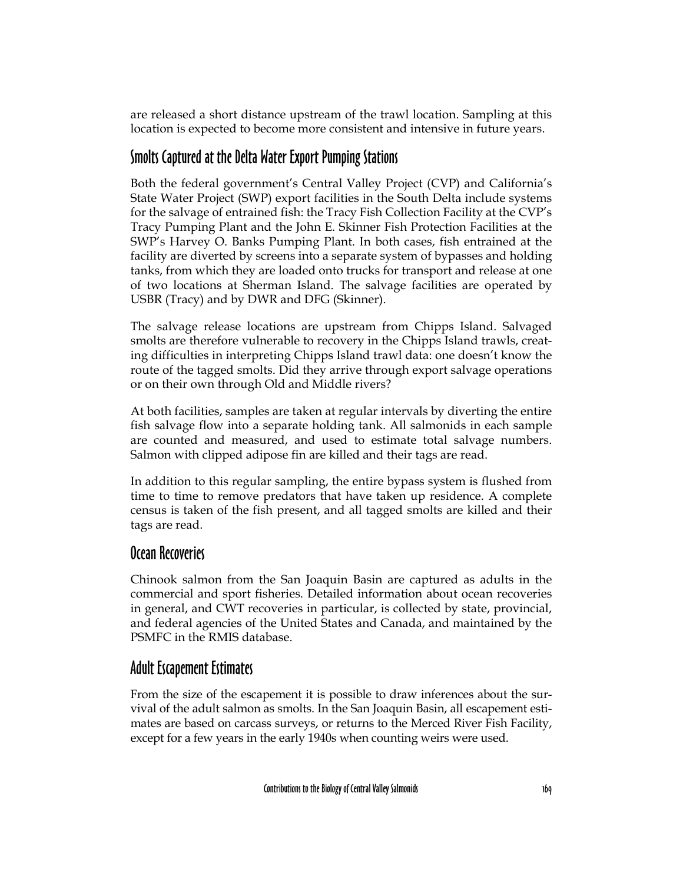are released a short distance upstream of the trawl location. Sampling at this location is expected to become more consistent and intensive in future years.

#### Smolts Captured at the Delta Water Export Pumping Stations

Both the federal government's Central Valley Project (CVP) and California's State Water Project (SWP) export facilities in the South Delta include systems for the salvage of entrained fish: the Tracy Fish Collection Facility at the CVP's Tracy Pumping Plant and the John E. Skinner Fish Protection Facilities at the SWP's Harvey O. Banks Pumping Plant. In both cases, fish entrained at the facility are diverted by screens into a separate system of bypasses and holding tanks, from which they are loaded onto trucks for transport and release at one of two locations at Sherman Island. The salvage facilities are operated by USBR (Tracy) and by DWR and DFG (Skinner).

The salvage release locations are upstream from Chipps Island. Salvaged smolts are therefore vulnerable to recovery in the Chipps Island trawls, creating difficulties in interpreting Chipps Island trawl data: one doesn't know the route of the tagged smolts. Did they arrive through export salvage operations or on their own through Old and Middle rivers?

At both facilities, samples are taken at regular intervals by diverting the entire fish salvage flow into a separate holding tank. All salmonids in each sample are counted and measured, and used to estimate total salvage numbers. Salmon with clipped adipose fin are killed and their tags are read.

In addition to this regular sampling, the entire bypass system is flushed from time to time to remove predators that have taken up residence. A complete census is taken of the fish present, and all tagged smolts are killed and their tags are read.

#### Ocean Recoveries

Chinook salmon from the San Joaquin Basin are captured as adults in the commercial and sport fisheries. Detailed information about ocean recoveries in general, and CWT recoveries in particular, is collected by state, provincial, and federal agencies of the United States and Canada, and maintained by the PSMFC in the RMIS database.

#### Adult Escapement Estimates

From the size of the escapement it is possible to draw inferences about the survival of the adult salmon as smolts. In the San Joaquin Basin, all escapement estimates are based on carcass surveys, or returns to the Merced River Fish Facility, except for a few years in the early 1940s when counting weirs were used.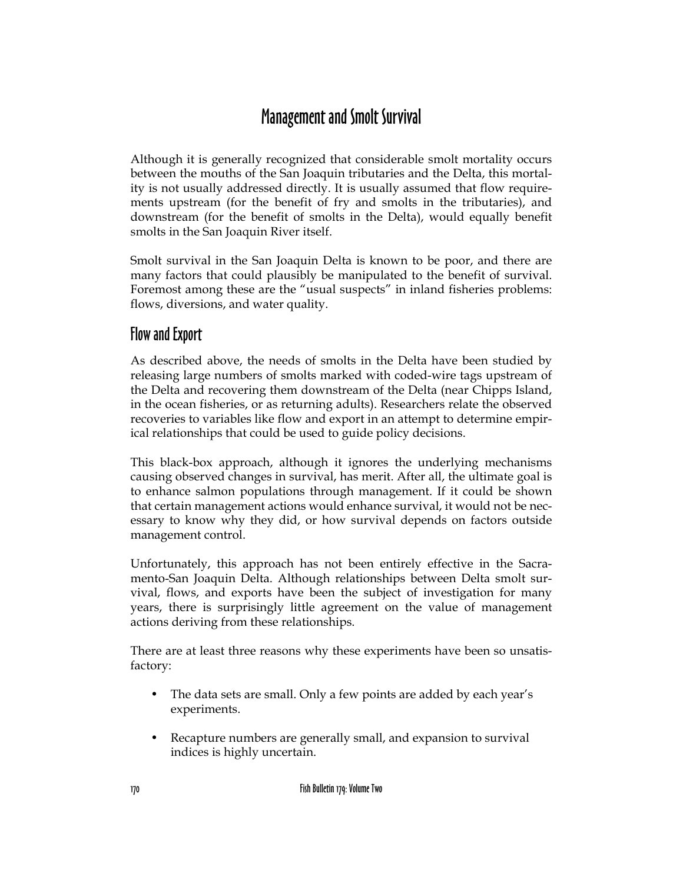## Management and Smolt Survival

Although it is generally recognized that considerable smolt mortality occurs between the mouths of the San Joaquin tributaries and the Delta, this mortality is not usually addressed directly. It is usually assumed that flow requirements upstream (for the benefit of fry and smolts in the tributaries), and downstream (for the benefit of smolts in the Delta), would equally benefit smolts in the San Joaquin River itself.

Smolt survival in the San Joaquin Delta is known to be poor, and there are many factors that could plausibly be manipulated to the benefit of survival. Foremost among these are the "usual suspects" in inland fisheries problems: flows, diversions, and water quality.

#### Flow and Export

As described above, the needs of smolts in the Delta have been studied by releasing large numbers of smolts marked with coded-wire tags upstream of the Delta and recovering them downstream of the Delta (near Chipps Island, in the ocean fisheries, or as returning adults). Researchers relate the observed recoveries to variables like flow and export in an attempt to determine empirical relationships that could be used to guide policy decisions.

This black-box approach, although it ignores the underlying mechanisms causing observed changes in survival, has merit. After all, the ultimate goal is to enhance salmon populations through management. If it could be shown that certain management actions would enhance survival, it would not be necessary to know why they did, or how survival depends on factors outside management control.

Unfortunately, this approach has not been entirely effective in the Sacramento-San Joaquin Delta. Although relationships between Delta smolt survival, flows, and exports have been the subject of investigation for many years, there is surprisingly little agreement on the value of management actions deriving from these relationships.

There are at least three reasons why these experiments have been so unsatisfactory:

- The data sets are small. Only a few points are added by each year's experiments.
- Recapture numbers are generally small, and expansion to survival indices is highly uncertain.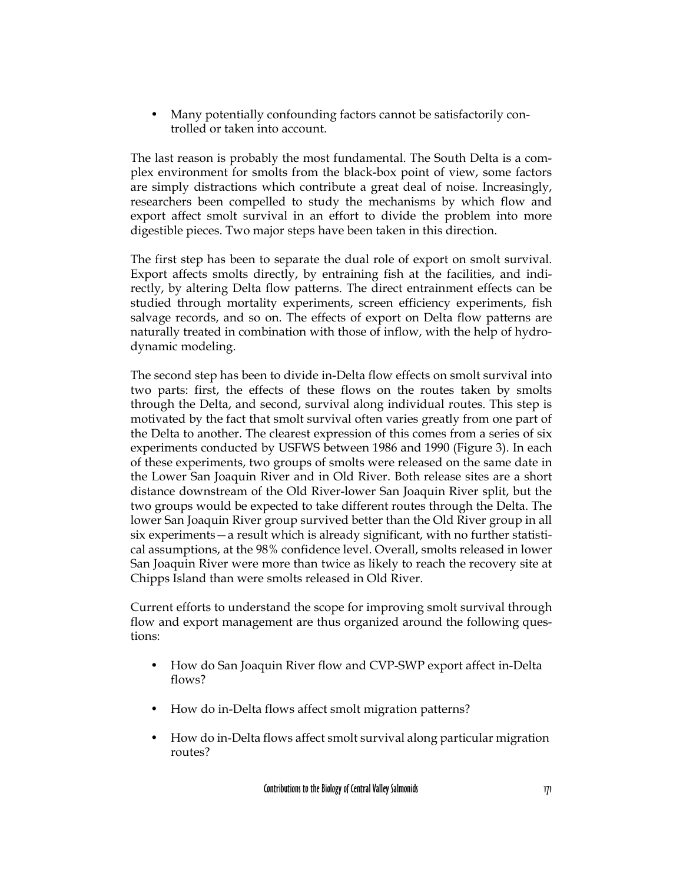Many potentially confounding factors cannot be satisfactorily controlled or taken into account.

The last reason is probably the most fundamental. The South Delta is a complex environment for smolts from the black-box point of view, some factors are simply distractions which contribute a great deal of noise. Increasingly, researchers been compelled to study the mechanisms by which flow and export affect smolt survival in an effort to divide the problem into more digestible pieces. Two major steps have been taken in this direction.

The first step has been to separate the dual role of export on smolt survival. Export affects smolts directly, by entraining fish at the facilities, and indirectly, by altering Delta flow patterns. The direct entrainment effects can be studied through mortality experiments, screen efficiency experiments, fish salvage records, and so on. The effects of export on Delta flow patterns are naturally treated in combination with those of inflow, with the help of hydrodynamic modeling.

The second step has been to divide in-Delta flow effects on smolt survival into two parts: first, the effects of these flows on the routes taken by smolts through the Delta, and second, survival along individual routes. This step is motivated by the fact that smolt survival often varies greatly from one part of the Delta to another. The clearest expression of this comes from a series of six experiments conducted by USFWS between 1986 and 1990 (Figure 3). In each of these experiments, two groups of smolts were released on the same date in the Lower San Joaquin River and in Old River. Both release sites are a short distance downstream of the Old River-lower San Joaquin River split, but the two groups would be expected to take different routes through the Delta. The lower San Joaquin River group survived better than the Old River group in all six experiments—a result which is already significant, with no further statistical assumptions, at the 98% confidence level. Overall, smolts released in lower San Joaquin River were more than twice as likely to reach the recovery site at Chipps Island than were smolts released in Old River.

Current efforts to understand the scope for improving smolt survival through flow and export management are thus organized around the following questions:

- How do San Joaquin River flow and CVP-SWP export affect in-Delta flows?
- How do in-Delta flows affect smolt migration patterns?
- How do in-Delta flows affect smolt survival along particular migration routes?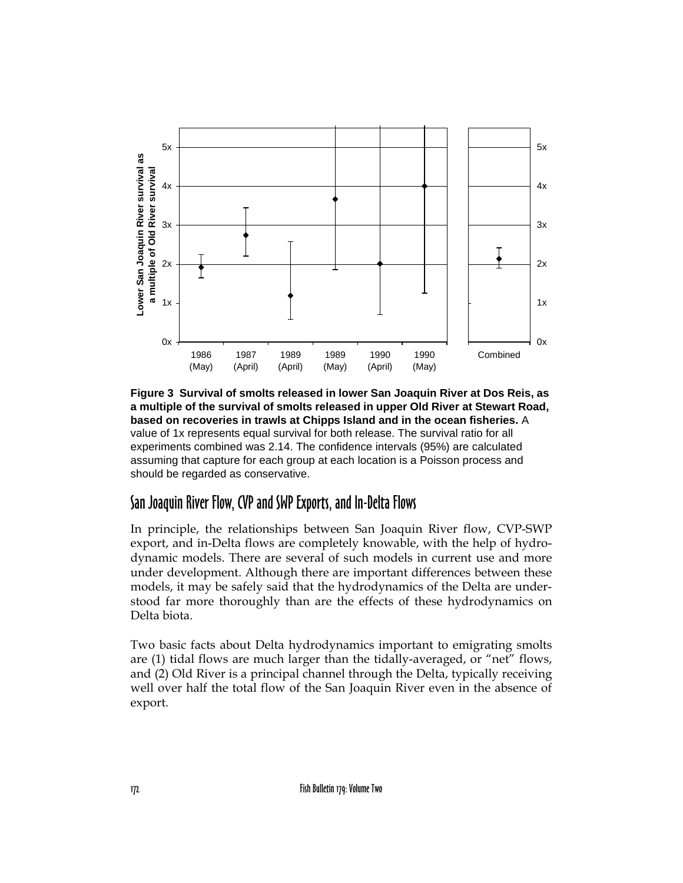

**Figure 3 Survival of smolts released in lower San Joaquin River at Dos Reis, as a multiple of the survival of smolts released in upper Old River at Stewart Road, based on recoveries in trawls at Chipps Island and in the ocean fisheries.** A value of 1x represents equal survival for both release. The survival ratio for all experiments combined was 2.14. The confidence intervals (95%) are calculated assuming that capture for each group at each location is a Poisson process and should be regarded as conservative.

#### San Joaquin River Flow, CVP and SWP Exports, and In-Delta Flows

In principle, the relationships between San Joaquin River flow, CVP-SWP export, and in-Delta flows are completely knowable, with the help of hydrodynamic models. There are several of such models in current use and more under development. Although there are important differences between these models, it may be safely said that the hydrodynamics of the Delta are understood far more thoroughly than are the effects of these hydrodynamics on Delta biota.

Two basic facts about Delta hydrodynamics important to emigrating smolts are (1) tidal flows are much larger than the tidally-averaged, or "net" flows, and (2) Old River is a principal channel through the Delta, typically receiving well over half the total flow of the San Joaquin River even in the absence of export.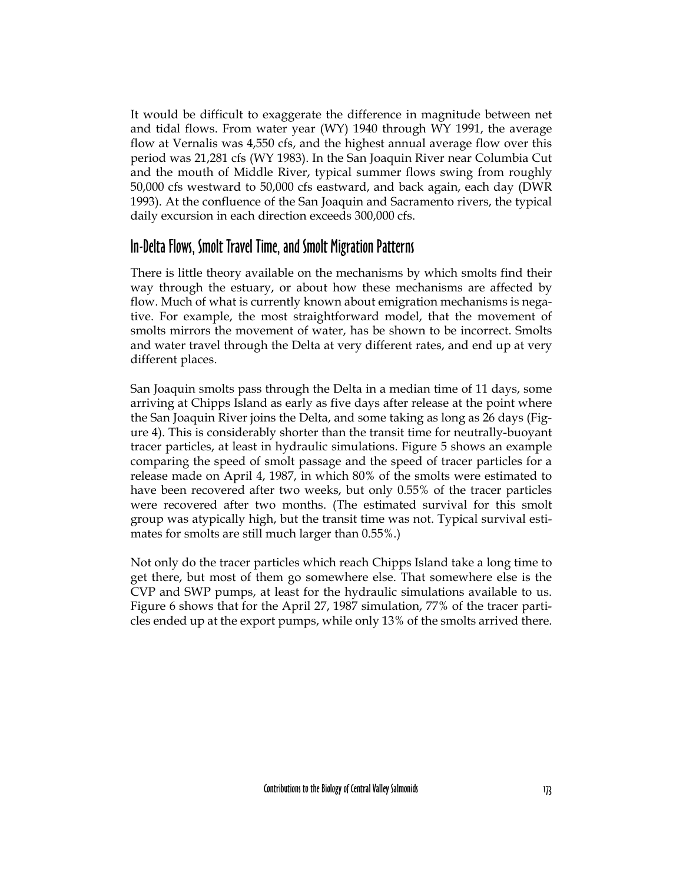It would be difficult to exaggerate the difference in magnitude between net and tidal flows. From water year (WY) 1940 through WY 1991, the average flow at Vernalis was 4,550 cfs, and the highest annual average flow over this period was 21,281 cfs (WY 1983). In the San Joaquin River near Columbia Cut and the mouth of Middle River, typical summer flows swing from roughly 50,000 cfs westward to 50,000 cfs eastward, and back again, each day (DWR 1993). At the confluence of the San Joaquin and Sacramento rivers, the typical daily excursion in each direction exceeds 300,000 cfs.

#### In-Delta Flows, Smolt Travel Time, and Smolt Migration Patterns

There is little theory available on the mechanisms by which smolts find their way through the estuary, or about how these mechanisms are affected by flow. Much of what is currently known about emigration mechanisms is negative. For example, the most straightforward model, that the movement of smolts mirrors the movement of water, has be shown to be incorrect. Smolts and water travel through the Delta at very different rates, and end up at very different places.

San Joaquin smolts pass through the Delta in a median time of 11 days, some arriving at Chipps Island as early as five days after release at the point where the San Joaquin River joins the Delta, and some taking as long as 26 days (Figure 4). This is considerably shorter than the transit time for neutrally-buoyant tracer particles, at least in hydraulic simulations. Figure 5 shows an example comparing the speed of smolt passage and the speed of tracer particles for a release made on April 4, 1987, in which 80% of the smolts were estimated to have been recovered after two weeks, but only 0.55% of the tracer particles were recovered after two months. (The estimated survival for this smolt group was atypically high, but the transit time was not. Typical survival estimates for smolts are still much larger than 0.55%.)

Not only do the tracer particles which reach Chipps Island take a long time to get there, but most of them go somewhere else. That somewhere else is the CVP and SWP pumps, at least for the hydraulic simulations available to us. Figure 6 shows that for the April 27, 1987 simulation, 77% of the tracer particles ended up at the export pumps, while only 13% of the smolts arrived there.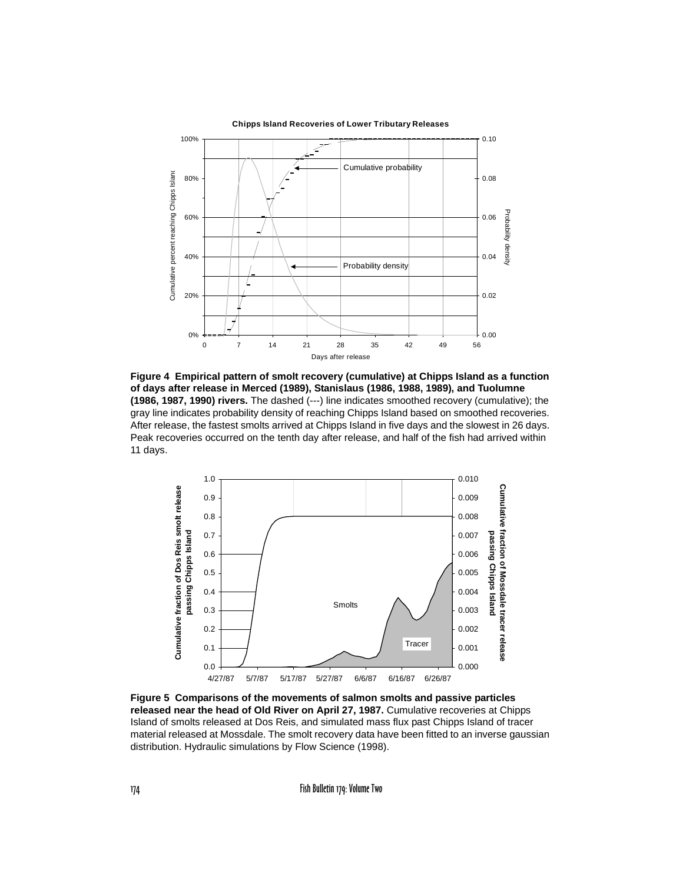

**Figure 4 Empirical pattern of smolt recovery (cumulative) at Chipps Island as a function of days after release in Merced (1989), Stanislaus (1986, 1988, 1989), and Tuolumne (1986, 1987, 1990) rivers.** The dashed (---) line indicates smoothed recovery (cumulative); the gray line indicates probability density of reaching Chipps Island based on smoothed recoveries. After release, the fastest smolts arrived at Chipps Island in five days and the slowest in 26 days. Peak recoveries occurred on the tenth day after release, and half of the fish had arrived within 11 days.



**Figure 5 Comparisons of the movements of salmon smolts and passive particles released near the head of Old River on April 27, 1987.** Cumulative recoveries at Chipps Island of smolts released at Dos Reis, and simulated mass flux past Chipps Island of tracer material released at Mossdale. The smolt recovery data have been fitted to an inverse gaussian distribution. Hydraulic simulations by Flow Science (1998).

174 Fish Bulletin 179: Volume Two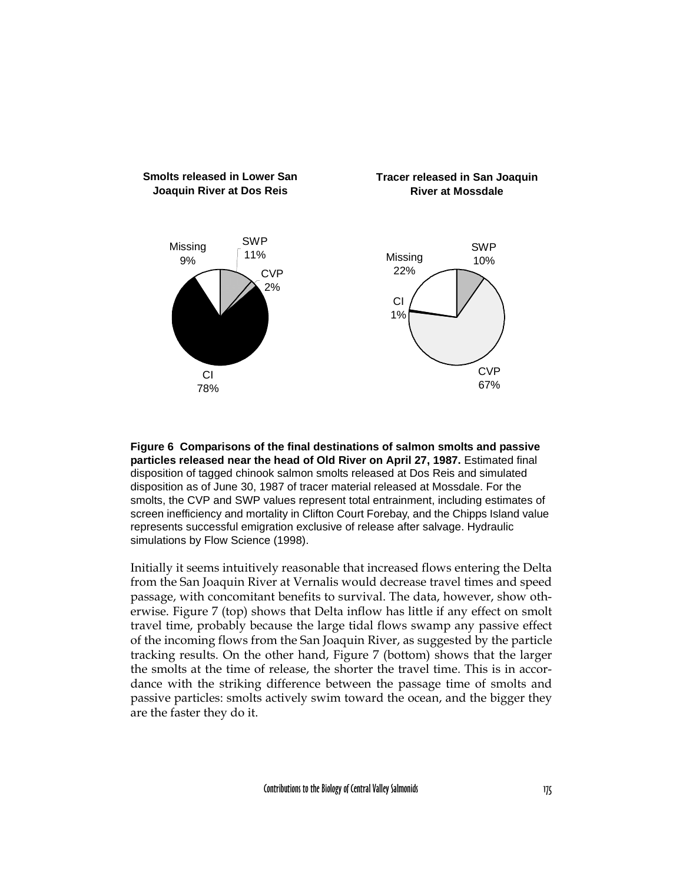

**Figure 6 Comparisons of the final destinations of salmon smolts and passive particles released near the head of Old River on April 27, 1987.** Estimated final disposition of tagged chinook salmon smolts released at Dos Reis and simulated disposition as of June 30, 1987 of tracer material released at Mossdale. For the smolts, the CVP and SWP values represent total entrainment, including estimates of screen inefficiency and mortality in Clifton Court Forebay, and the Chipps Island value represents successful emigration exclusive of release after salvage. Hydraulic simulations by Flow Science (1998).

Initially it seems intuitively reasonable that increased flows entering the Delta from the San Joaquin River at Vernalis would decrease travel times and speed passage, with concomitant benefits to survival. The data, however, show otherwise. Figure 7 (top) shows that Delta inflow has little if any effect on smolt travel time, probably because the large tidal flows swamp any passive effect of the incoming flows from the San Joaquin River, as suggested by the particle tracking results. On the other hand, Figure 7 (bottom) shows that the larger the smolts at the time of release, the shorter the travel time. This is in accordance with the striking difference between the passage time of smolts and passive particles: smolts actively swim toward the ocean, and the bigger they are the faster they do it.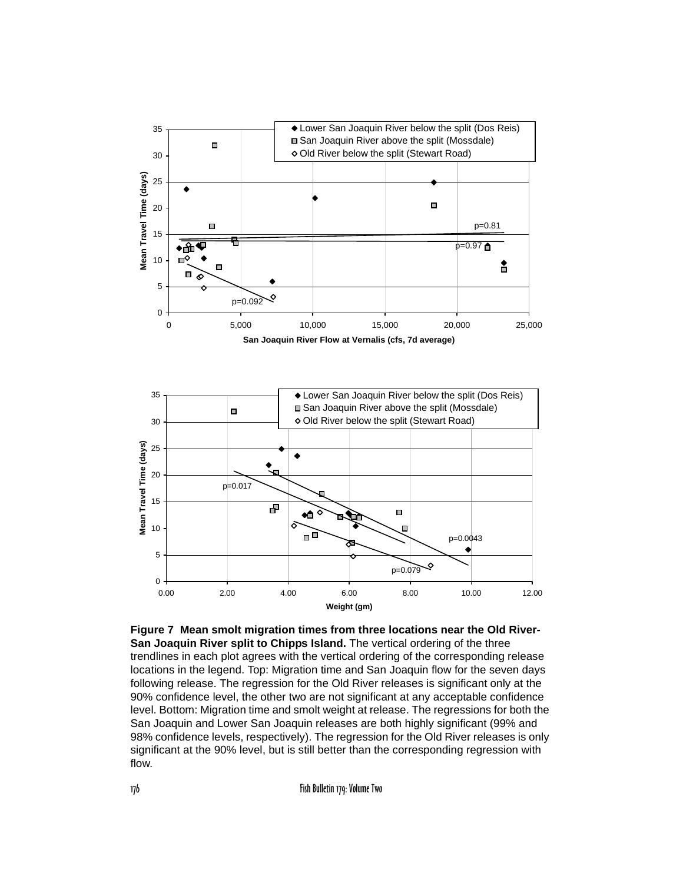

**Figure 7 Mean smolt migration times from three locations near the Old River-San Joaquin River split to Chipps Island.** The vertical ordering of the three trendlines in each plot agrees with the vertical ordering of the corresponding release locations in the legend. Top: Migration time and San Joaquin flow for the seven days following release. The regression for the Old River releases is significant only at the 90% confidence level, the other two are not significant at any acceptable confidence level. Bottom: Migration time and smolt weight at release. The regressions for both the San Joaquin and Lower San Joaquin releases are both highly significant (99% and 98% confidence levels, respectively). The regression for the Old River releases is only significant at the 90% level, but is still better than the corresponding regression with flow.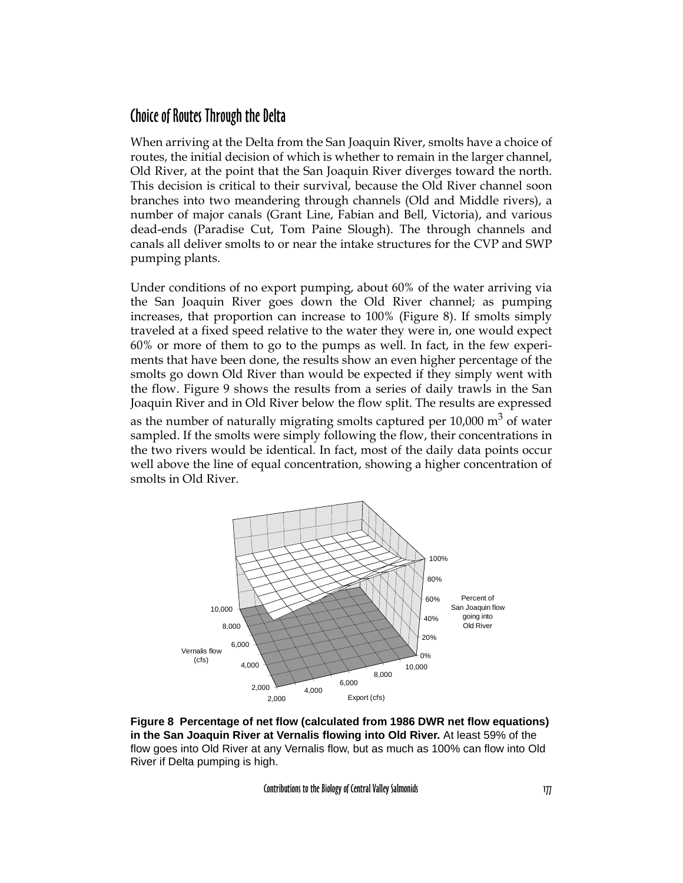#### Choice of Routes Through the Delta

When arriving at the Delta from the San Joaquin River, smolts have a choice of routes, the initial decision of which is whether to remain in the larger channel, Old River, at the point that the San Joaquin River diverges toward the north. This decision is critical to their survival, because the Old River channel soon branches into two meandering through channels (Old and Middle rivers), a number of major canals (Grant Line, Fabian and Bell, Victoria), and various dead-ends (Paradise Cut, Tom Paine Slough). The through channels and canals all deliver smolts to or near the intake structures for the CVP and SWP pumping plants.

Under conditions of no export pumping, about 60% of the water arriving via the San Joaquin River goes down the Old River channel; as pumping increases, that proportion can increase to 100% (Figure 8). If smolts simply traveled at a fixed speed relative to the water they were in, one would expect 60% or more of them to go to the pumps as well. In fact, in the few experiments that have been done, the results show an even higher percentage of the smolts go down Old River than would be expected if they simply went with the flow. Figure 9 shows the results from a series of daily trawls in the San Joaquin River and in Old River below the flow split. The results are expressed as the number of naturally migrating smolts captured per  $10,000 \text{ m}^3$  of water sampled. If the smolts were simply following the flow, their concentrations in the two rivers would be identical. In fact, most of the daily data points occur well above the line of equal concentration, showing a higher concentration of smolts in Old River.



**Figure 8 Percentage of net flow (calculated from 1986 DWR net flow equations) in the San Joaquin River at Vernalis flowing into Old River.** At least 59% of the flow goes into Old River at any Vernalis flow, but as much as 100% can flow into Old River if Delta pumping is high.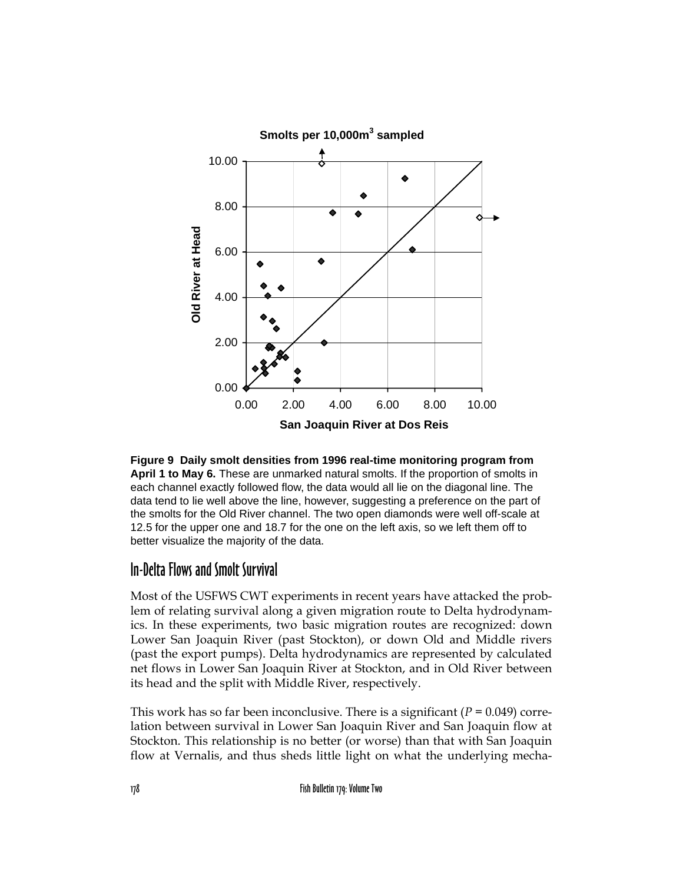



#### In-Delta Flows and Smolt Survival

Most of the USFWS CWT experiments in recent years have attacked the problem of relating survival along a given migration route to Delta hydrodynamics. In these experiments, two basic migration routes are recognized: down Lower San Joaquin River (past Stockton), or down Old and Middle rivers (past the export pumps). Delta hydrodynamics are represented by calculated net flows in Lower San Joaquin River at Stockton, and in Old River between its head and the split with Middle River, respectively.

This work has so far been inconclusive. There is a significant  $(P = 0.049)$  correlation between survival in Lower San Joaquin River and San Joaquin flow at Stockton. This relationship is no better (or worse) than that with San Joaquin flow at Vernalis, and thus sheds little light on what the underlying mecha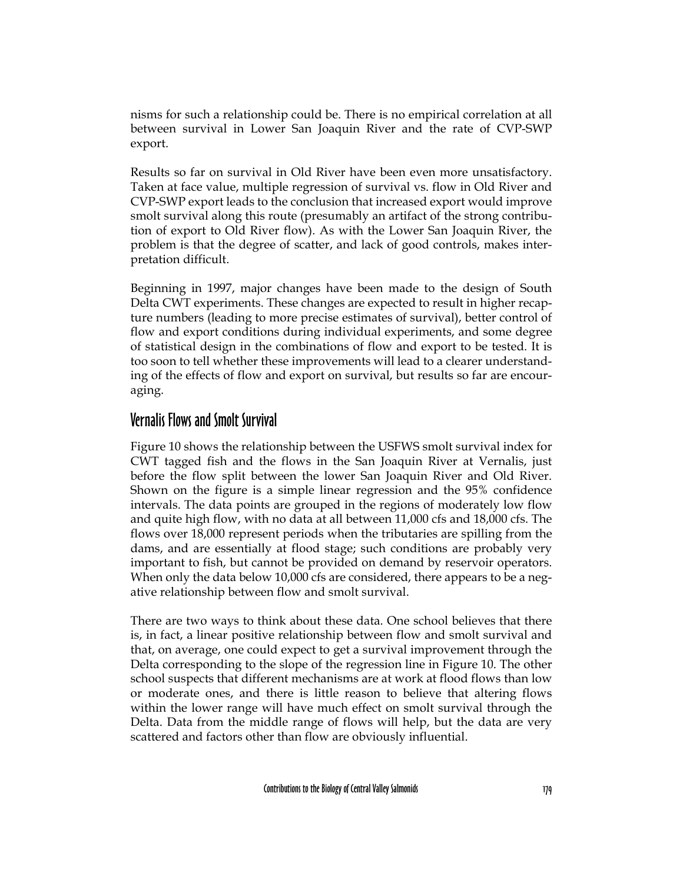nisms for such a relationship could be. There is no empirical correlation at all between survival in Lower San Joaquin River and the rate of CVP-SWP export.

Results so far on survival in Old River have been even more unsatisfactory. Taken at face value, multiple regression of survival vs. flow in Old River and CVP-SWP export leads to the conclusion that increased export would improve smolt survival along this route (presumably an artifact of the strong contribution of export to Old River flow). As with the Lower San Joaquin River, the problem is that the degree of scatter, and lack of good controls, makes interpretation difficult.

Beginning in 1997, major changes have been made to the design of South Delta CWT experiments. These changes are expected to result in higher recapture numbers (leading to more precise estimates of survival), better control of flow and export conditions during individual experiments, and some degree of statistical design in the combinations of flow and export to be tested. It is too soon to tell whether these improvements will lead to a clearer understanding of the effects of flow and export on survival, but results so far are encouraging.

#### Vernalis Flows and Smolt Survival

Figure 10 shows the relationship between the USFWS smolt survival index for CWT tagged fish and the flows in the San Joaquin River at Vernalis, just before the flow split between the lower San Joaquin River and Old River. Shown on the figure is a simple linear regression and the 95% confidence intervals. The data points are grouped in the regions of moderately low flow and quite high flow, with no data at all between 11,000 cfs and 18,000 cfs. The flows over 18,000 represent periods when the tributaries are spilling from the dams, and are essentially at flood stage; such conditions are probably very important to fish, but cannot be provided on demand by reservoir operators. When only the data below 10,000 cfs are considered, there appears to be a negative relationship between flow and smolt survival.

There are two ways to think about these data. One school believes that there is, in fact, a linear positive relationship between flow and smolt survival and that, on average, one could expect to get a survival improvement through the Delta corresponding to the slope of the regression line in Figure 10. The other school suspects that different mechanisms are at work at flood flows than low or moderate ones, and there is little reason to believe that altering flows within the lower range will have much effect on smolt survival through the Delta. Data from the middle range of flows will help, but the data are very scattered and factors other than flow are obviously influential.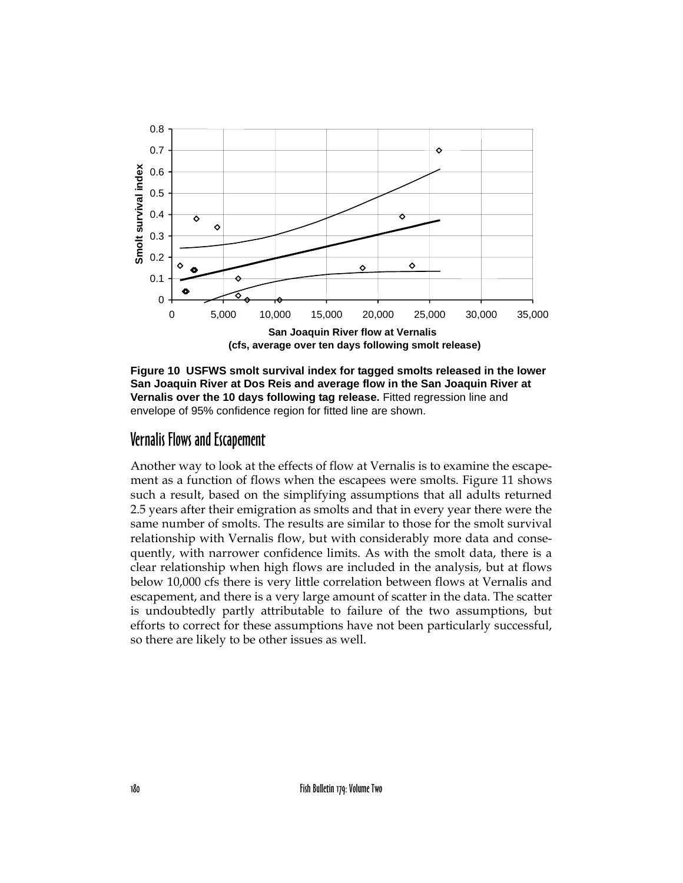

**Figure 10 USFWS smolt survival index for tagged smolts released in the lower San Joaquin River at Dos Reis and average flow in the San Joaquin River at Vernalis over the 10 days following tag release.** Fitted regression line and envelope of 95% confidence region for fitted line are shown.

#### Vernalis Flows and Escapement

Another way to look at the effects of flow at Vernalis is to examine the escapement as a function of flows when the escapees were smolts. Figure 11 shows such a result, based on the simplifying assumptions that all adults returned 2.5 years after their emigration as smolts and that in every year there were the same number of smolts. The results are similar to those for the smolt survival relationship with Vernalis flow, but with considerably more data and consequently, with narrower confidence limits. As with the smolt data, there is a clear relationship when high flows are included in the analysis, but at flows below 10,000 cfs there is very little correlation between flows at Vernalis and escapement, and there is a very large amount of scatter in the data. The scatter is undoubtedly partly attributable to failure of the two assumptions, but efforts to correct for these assumptions have not been particularly successful, so there are likely to be other issues as well.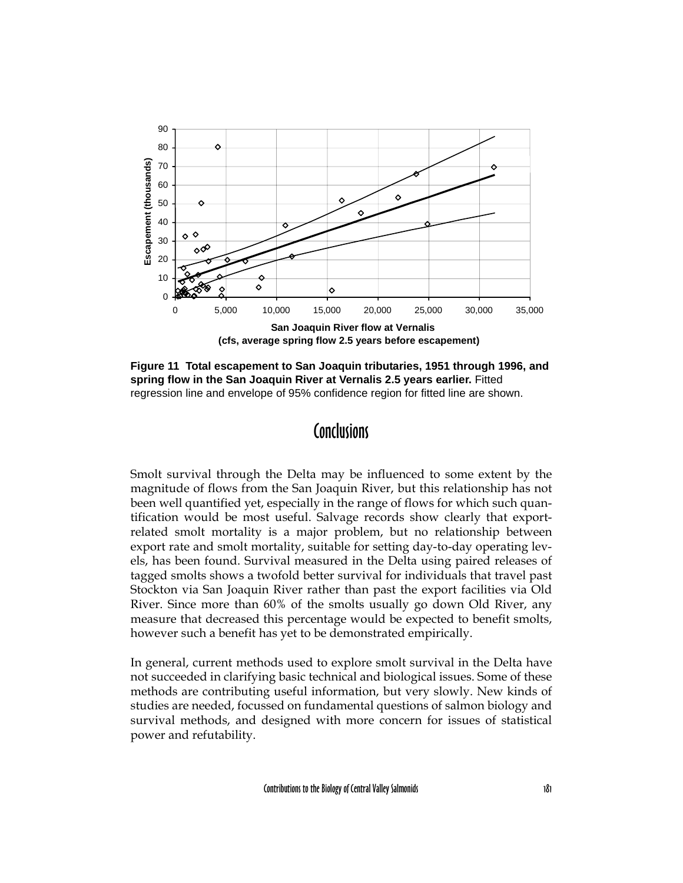

**Figure 11 Total escapement to San Joaquin tributaries, 1951 through 1996, and spring flow in the San Joaquin River at Vernalis 2.5 years earlier.** Fitted regression line and envelope of 95% confidence region for fitted line are shown.

### **Conclusions**

Smolt survival through the Delta may be influenced to some extent by the magnitude of flows from the San Joaquin River, but this relationship has not been well quantified yet, especially in the range of flows for which such quantification would be most useful. Salvage records show clearly that exportrelated smolt mortality is a major problem, but no relationship between export rate and smolt mortality, suitable for setting day-to-day operating levels, has been found. Survival measured in the Delta using paired releases of tagged smolts shows a twofold better survival for individuals that travel past Stockton via San Joaquin River rather than past the export facilities via Old River. Since more than 60% of the smolts usually go down Old River, any measure that decreased this percentage would be expected to benefit smolts, however such a benefit has yet to be demonstrated empirically.

In general, current methods used to explore smolt survival in the Delta have not succeeded in clarifying basic technical and biological issues. Some of these methods are contributing useful information, but very slowly. New kinds of studies are needed, focussed on fundamental questions of salmon biology and survival methods, and designed with more concern for issues of statistical power and refutability.